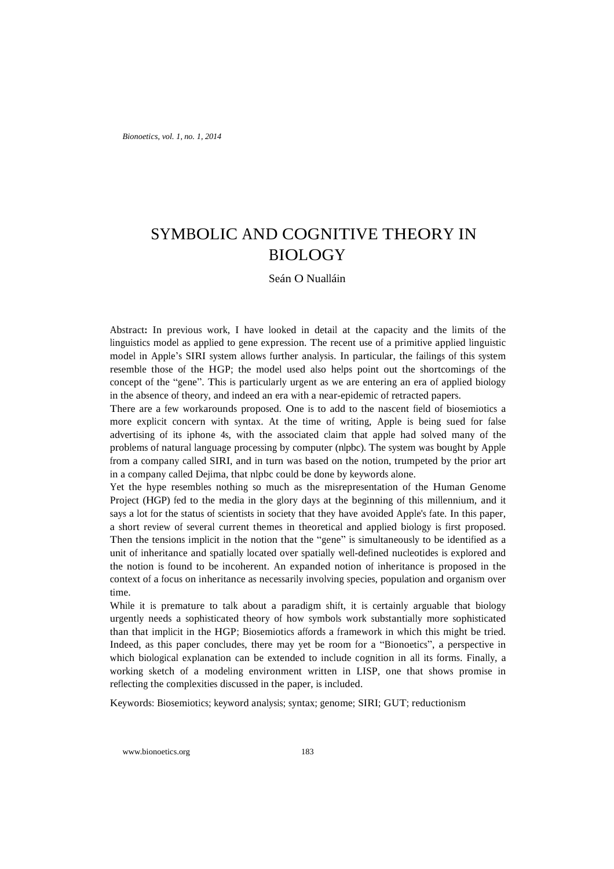*Bionoetics, vol. 1, no. 1, 2014*

# SYMBOLIC AND COGNITIVE THEORY IN BIOLOGY

# Seán O Nualláin

Abstract**:** In previous work, I have looked in detail at the capacity and the limits of the linguistics model as applied to gene expression. The recent use of a primitive applied linguistic model in Apple's SIRI system allows further analysis. In particular, the failings of this system resemble those of the HGP; the model used also helps point out the shortcomings of the concept of the "gene". This is particularly urgent as we are entering an era of applied biology in the absence of theory, and indeed an era with a near-epidemic of retracted papers.

There are a few workarounds proposed. One is to add to the nascent field of biosemiotics a more explicit concern with syntax. At the time of writing, Apple is being sued for false advertising of its iphone 4s, with the associated claim that apple had solved many of the problems of natural language processing by computer (nlpbc). The system was bought by Apple from a company called SIRI, and in turn was based on the notion, trumpeted by the prior art in a company called Dejima, that nlpbc could be done by keywords alone.

Yet the hype resembles nothing so much as the misrepresentation of the Human Genome Project (HGP) fed to the media in the glory days at the beginning of this millennium, and it says a lot for the status of scientists in society that they have avoided Apple's fate. In this paper, a short review of several current themes in theoretical and applied biology is first proposed. Then the tensions implicit in the notion that the "gene" is simultaneously to be identified as a unit of inheritance and spatially located over spatially well-defined nucleotides is explored and the notion is found to be incoherent. An expanded notion of inheritance is proposed in the context of a focus on inheritance as necessarily involving species, population and organism over time.

While it is premature to talk about a paradigm shift, it is certainly arguable that biology urgently needs a sophisticated theory of how symbols work substantially more sophisticated than that implicit in the HGP; Biosemiotics affords a framework in which this might be tried. Indeed, as this paper concludes, there may yet be room for a "Bionoetics", a perspective in which biological explanation can be extended to include cognition in all its forms. Finally, a working sketch of a modeling environment written in LISP, one that shows promise in reflecting the complexities discussed in the paper, is included.

Keywords: Biosemiotics; keyword analysis; syntax; genome; SIRI; GUT; reductionism

www.bionoetics.org 183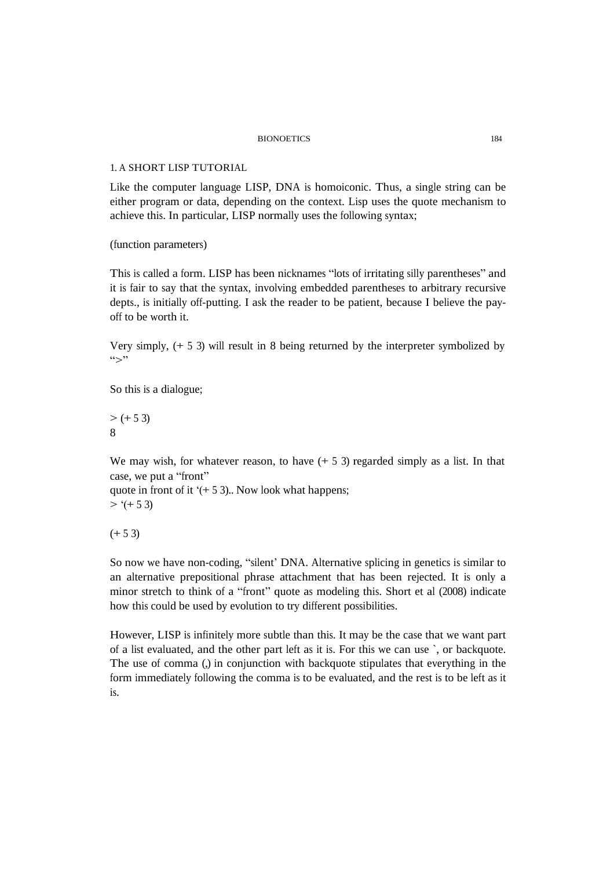## 1. A SHORT LISP TUTORIAL

Like the computer language LISP, DNA is homoiconic. Thus, a single string can be either program or data, depending on the context. Lisp uses the quote mechanism to achieve this. In particular, LISP normally uses the following syntax;

(function parameters)

This is called a form. LISP has been nicknames "lots of irritating silly parentheses" and it is fair to say that the syntax, involving embedded parentheses to arbitrary recursive depts., is initially off-putting. I ask the reader to be patient, because I believe the payoff to be worth it.

Very simply, (+ 5 3) will result in 8 being returned by the interpreter symbolized by  $\sum$ "

So this is a dialogue;

 $> (+ 5 3)$ 8

We may wish, for whatever reason, to have  $(+ 5 3)$  regarded simply as a list. In that case, we put a "front"

quote in front of it  $(+ 5 3)$ .. Now look what happens;  $>$  '(+ 5 3)

 $(+ 53)$ 

So now we have non-coding, "silent' DNA. Alternative splicing in genetics is similar to an alternative prepositional phrase attachment that has been rejected. It is only a minor stretch to think of a "front" quote as modeling this. Short et al (2008) indicate how this could be used by evolution to try different possibilities.

However, LISP is infinitely more subtle than this. It may be the case that we want part of a list evaluated, and the other part left as it is. For this we can use `, or backquote. The use of comma (,) in conjunction with backquote stipulates that everything in the form immediately following the comma is to be evaluated, and the rest is to be left as it is.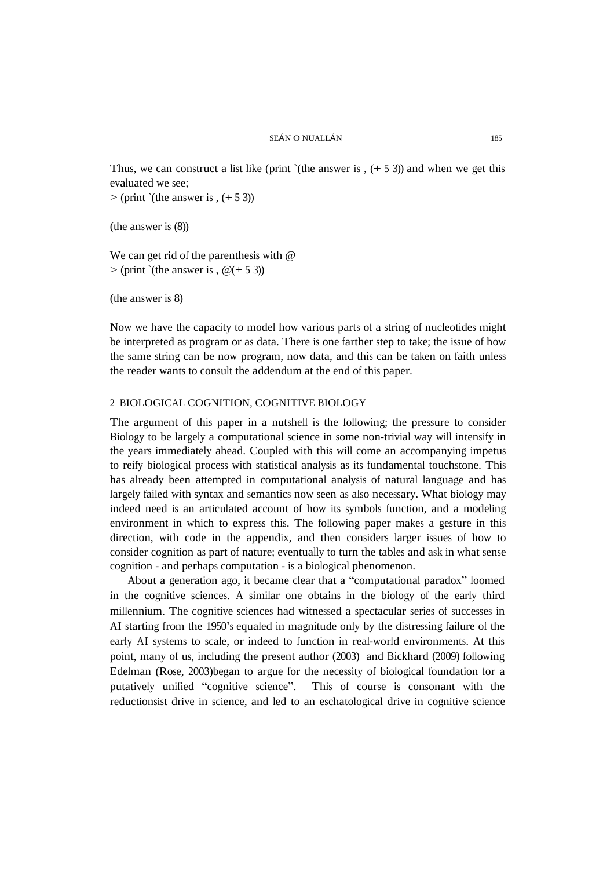Thus, we can construct a list like (print `(the answer is ,  $(+ 5 3)$ ) and when we get this evaluated we see;

 $>$  (print `(the answer is ,  $(+ 5 3)$ )

(the answer is (8))

We can get rid of the parenthesis with @  $>$  (print `(the answer is,  $\omega$ (+ 5 3))

(the answer is 8)

Now we have the capacity to model how various parts of a string of nucleotides might be interpreted as program or as data. There is one farther step to take; the issue of how the same string can be now program, now data, and this can be taken on faith unless the reader wants to consult the addendum at the end of this paper.

# 2 BIOLOGICAL COGNITION, COGNITIVE BIOLOGY

The argument of this paper in a nutshell is the following; the pressure to consider Biology to be largely a computational science in some non-trivial way will intensify in the years immediately ahead. Coupled with this will come an accompanying impetus to reify biological process with statistical analysis as its fundamental touchstone. This has already been attempted in computational analysis of natural language and has largely failed with syntax and semantics now seen as also necessary. What biology may indeed need is an articulated account of how its symbols function, and a modeling environment in which to express this. The following paper makes a gesture in this direction, with code in the appendix, and then considers larger issues of how to consider cognition as part of nature; eventually to turn the tables and ask in what sense cognition - and perhaps computation - is a biological phenomenon.

About a generation ago, it became clear that a "computational paradox" loomed in the cognitive sciences. A similar one obtains in the biology of the early third millennium. The cognitive sciences had witnessed a spectacular series of successes in AI starting from the 1950's equaled in magnitude only by the distressing failure of the early AI systems to scale, or indeed to function in real-world environments. At this point, many of us, including the present author (2003) and Bickhard (2009) following Edelman (Rose, 2003)began to argue for the necessity of biological foundation for a putatively unified "cognitive science". This of course is consonant with the reductionsist drive in science, and led to an eschatological drive in cognitive science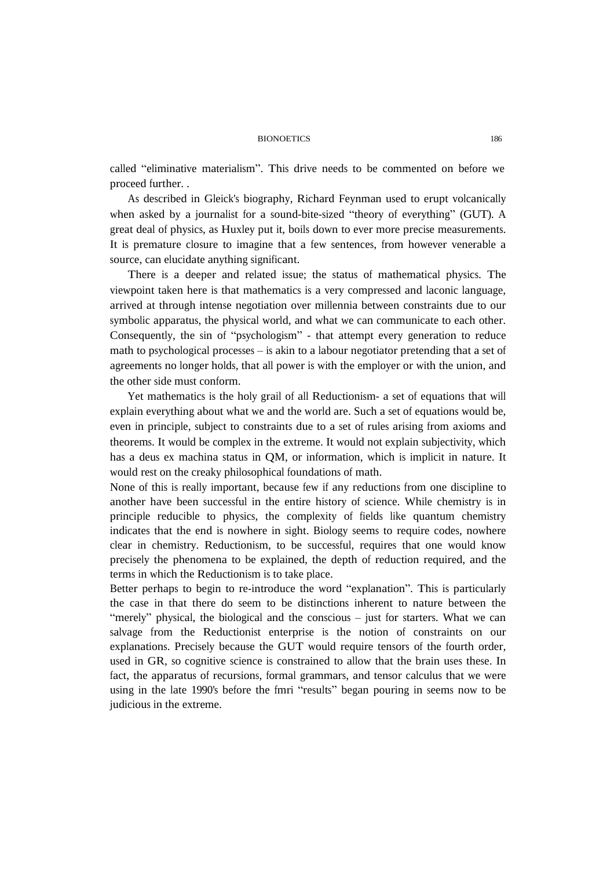called "eliminative materialism". This drive needs to be commented on before we proceed further. .

As described in Gleick's biography, Richard Feynman used to erupt volcanically when asked by a journalist for a sound-bite-sized "theory of everything" (GUT). A great deal of physics, as Huxley put it, boils down to ever more precise measurements. It is premature closure to imagine that a few sentences, from however venerable a source, can elucidate anything significant.

There is a deeper and related issue; the status of mathematical physics. The viewpoint taken here is that mathematics is a very compressed and laconic language, arrived at through intense negotiation over millennia between constraints due to our symbolic apparatus, the physical world, and what we can communicate to each other. Consequently, the sin of "psychologism" - that attempt every generation to reduce math to psychological processes – is akin to a labour negotiator pretending that a set of agreements no longer holds, that all power is with the employer or with the union, and the other side must conform.

Yet mathematics is the holy grail of all Reductionism- a set of equations that will explain everything about what we and the world are. Such a set of equations would be, even in principle, subject to constraints due to a set of rules arising from axioms and theorems. It would be complex in the extreme. It would not explain subjectivity, which has a deus ex machina status in QM, or information, which is implicit in nature. It would rest on the creaky philosophical foundations of math.

None of this is really important, because few if any reductions from one discipline to another have been successful in the entire history of science. While chemistry is in principle reducible to physics, the complexity of fields like quantum chemistry indicates that the end is nowhere in sight. Biology seems to require codes, nowhere clear in chemistry. Reductionism, to be successful, requires that one would know precisely the phenomena to be explained, the depth of reduction required, and the terms in which the Reductionism is to take place.

Better perhaps to begin to re-introduce the word "explanation". This is particularly the case in that there do seem to be distinctions inherent to nature between the "merely" physical, the biological and the conscious – just for starters. What we can salvage from the Reductionist enterprise is the notion of constraints on our explanations. Precisely because the GUT would require tensors of the fourth order, used in GR, so cognitive science is constrained to allow that the brain uses these. In fact, the apparatus of recursions, formal grammars, and tensor calculus that we were using in the late 1990's before the fmri "results" began pouring in seems now to be judicious in the extreme.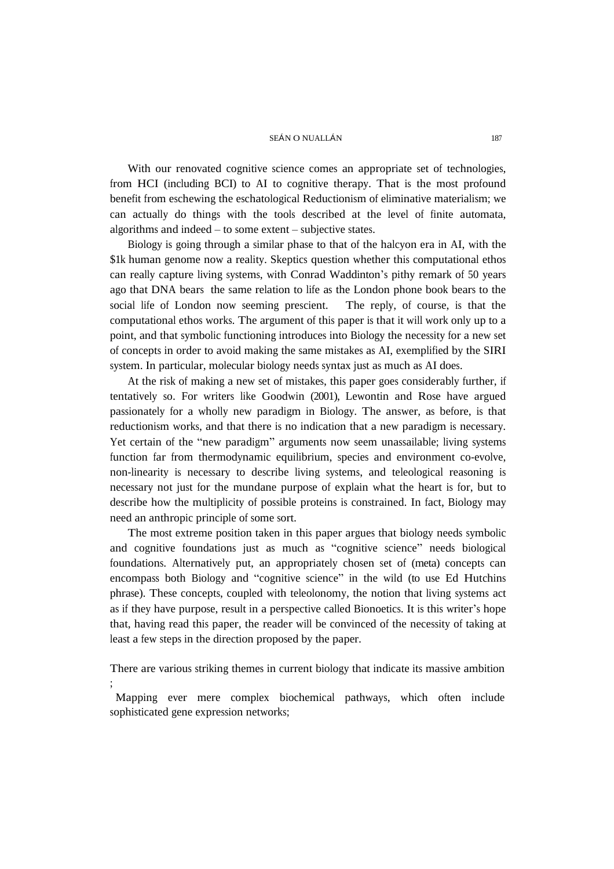With our renovated cognitive science comes an appropriate set of technologies, from HCI (including BCI) to AI to cognitive therapy. That is the most profound benefit from eschewing the eschatological Reductionism of eliminative materialism; we can actually do things with the tools described at the level of finite automata, algorithms and indeed – to some extent – subjective states.

Biology is going through a similar phase to that of the halcyon era in AI, with the \$1k human genome now a reality. Skeptics question whether this computational ethos can really capture living systems, with Conrad Waddinton's pithy remark of 50 years ago that DNA bears the same relation to life as the London phone book bears to the social life of London now seeming prescient. The reply, of course, is that the computational ethos works. The argument of this paper is that it will work only up to a point, and that symbolic functioning introduces into Biology the necessity for a new set of concepts in order to avoid making the same mistakes as AI, exemplified by the SIRI system. In particular, molecular biology needs syntax just as much as AI does.

At the risk of making a new set of mistakes, this paper goes considerably further, if tentatively so. For writers like Goodwin (2001), Lewontin and Rose have argued passionately for a wholly new paradigm in Biology. The answer, as before, is that reductionism works, and that there is no indication that a new paradigm is necessary. Yet certain of the "new paradigm" arguments now seem unassailable; living systems function far from thermodynamic equilibrium, species and environment co-evolve, non-linearity is necessary to describe living systems, and teleological reasoning is necessary not just for the mundane purpose of explain what the heart is for, but to describe how the multiplicity of possible proteins is constrained. In fact, Biology may need an anthropic principle of some sort.

The most extreme position taken in this paper argues that biology needs symbolic and cognitive foundations just as much as "cognitive science" needs biological foundations. Alternatively put, an appropriately chosen set of (meta) concepts can encompass both Biology and "cognitive science" in the wild (to use Ed Hutchins phrase). These concepts, coupled with teleolonomy, the notion that living systems act as if they have purpose, result in a perspective called Bionoetics. It is this writer's hope that, having read this paper, the reader will be convinced of the necessity of taking at least a few steps in the direction proposed by the paper.

There are various striking themes in current biology that indicate its massive ambition ;

Mapping ever mere complex biochemical pathways, which often include sophisticated gene expression networks;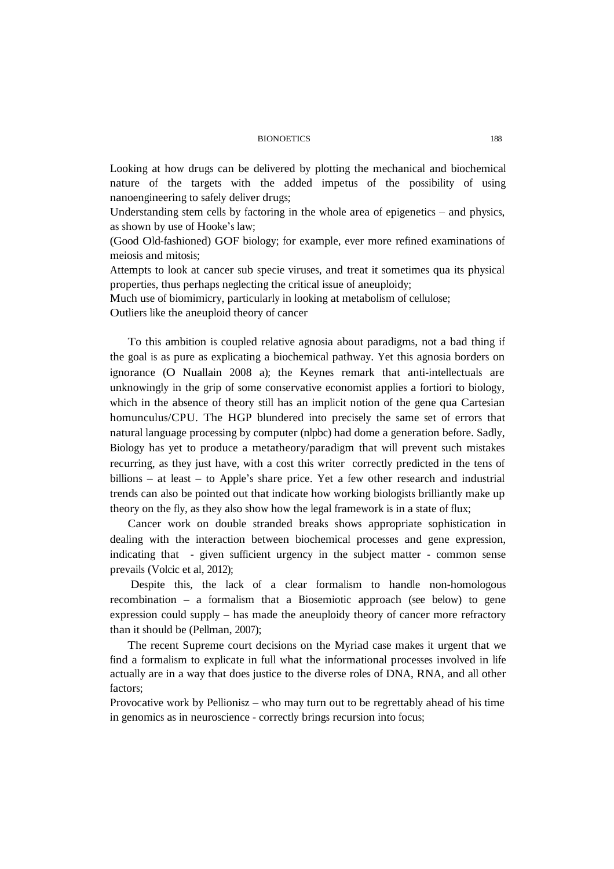Looking at how drugs can be delivered by plotting the mechanical and biochemical nature of the targets with the added impetus of the possibility of using nanoengineering to safely deliver drugs;

Understanding stem cells by factoring in the whole area of epigenetics – and physics, as shown by use of Hooke's law;

(Good Old-fashioned) GOF biology; for example, ever more refined examinations of meiosis and mitosis;

Attempts to look at cancer sub specie viruses, and treat it sometimes qua its physical properties, thus perhaps neglecting the critical issue of aneuploidy;

Much use of biomimicry, particularly in looking at metabolism of cellulose;

Outliers like the aneuploid theory of cancer

To this ambition is coupled relative agnosia about paradigms, not a bad thing if the goal is as pure as explicating a biochemical pathway. Yet this agnosia borders on ignorance (O Nuallain 2008 a); the Keynes remark that anti-intellectuals are unknowingly in the grip of some conservative economist applies a fortiori to biology, which in the absence of theory still has an implicit notion of the gene qua Cartesian homunculus/CPU. The HGP blundered into precisely the same set of errors that natural language processing by computer (nlpbc) had dome a generation before. Sadly, Biology has yet to produce a metatheory/paradigm that will prevent such mistakes recurring, as they just have, with a cost this writer correctly predicted in the tens of billions – at least – to Apple's share price. Yet a few other research and industrial trends can also be pointed out that indicate how working biologists brilliantly make up theory on the fly, as they also show how the legal framework is in a state of flux;

Cancer work on double stranded breaks shows appropriate sophistication in dealing with the interaction between biochemical processes and gene expression, indicating that - given sufficient urgency in the subject matter - common sense prevails (Volcic et al, 2012);

Despite this, the lack of a clear formalism to handle non-homologous recombination – a formalism that a Biosemiotic approach (see below) to gene expression could supply – has made the aneuploidy theory of cancer more refractory than it should be (Pellman, 2007);

The recent Supreme court decisions on the Myriad case makes it urgent that we find a formalism to explicate in full what the informational processes involved in life actually are in a way that does justice to the diverse roles of DNA, RNA, and all other factors;

Provocative work by Pellionisz – who may turn out to be regrettably ahead of his time in genomics as in neuroscience - correctly brings recursion into focus;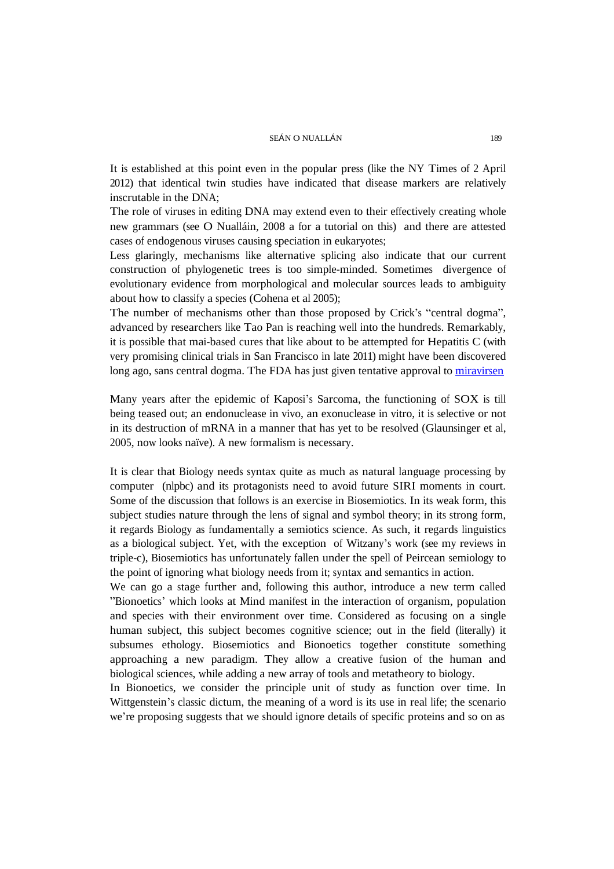It is established at this point even in the popular press (like the NY Times of 2 April 2012) that identical twin studies have indicated that disease markers are relatively inscrutable in the DNA;

The role of viruses in editing DNA may extend even to their effectively creating whole new grammars (see O Nualláin, 2008 a for a tutorial on this) and there are attested cases of endogenous viruses causing speciation in eukaryotes;

Less glaringly, mechanisms like alternative splicing also indicate that our current construction of phylogenetic trees is too simple-minded. Sometimes divergence of evolutionary evidence from morphological and molecular sources leads to ambiguity about how to classify a species (Cohena et al 2005);

The number of mechanisms other than those proposed by Crick's "central dogma", advanced by researchers like Tao Pan is reaching well into the hundreds. Remarkably, it is possible that mai-based cures that like about to be attempted for Hepatitis C (with very promising clinical trials in San Francisco in late 2011) might have been discovered long ago, sans central dogma. The FDA has just given tentative approval to [miravirsen](http://www.santaris.com/product-pipeline/drug-candidates/infectious-diseases)

Many years after the epidemic of Kaposi's Sarcoma, the functioning of SOX is till being teased out; an endonuclease in vivo, an exonuclease in vitro, it is selective or not in its destruction of mRNA in a manner that has yet to be resolved (Glaunsinger et al, 2005, now looks naïve). A new formalism is necessary.

It is clear that Biology needs syntax quite as much as natural language processing by computer (nlpbc) and its protagonists need to avoid future SIRI moments in court. Some of the discussion that follows is an exercise in Biosemiotics. In its weak form, this subject studies nature through the lens of signal and symbol theory; in its strong form, it regards Biology as fundamentally a semiotics science. As such, it regards linguistics as a biological subject. Yet, with the exception of Witzany's work (see my reviews in triple-c), Biosemiotics has unfortunately fallen under the spell of Peircean semiology to the point of ignoring what biology needs from it; syntax and semantics in action.

We can go a stage further and, following this author, introduce a new term called "Bionoetics' which looks at Mind manifest in the interaction of organism, population and species with their environment over time. Considered as focusing on a single human subject, this subject becomes cognitive science; out in the field (literally) it subsumes ethology. Biosemiotics and Bionoetics together constitute something approaching a new paradigm. They allow a creative fusion of the human and biological sciences, while adding a new array of tools and metatheory to biology.

In Bionoetics, we consider the principle unit of study as function over time. In Wittgenstein's classic dictum, the meaning of a word is its use in real life; the scenario we're proposing suggests that we should ignore details of specific proteins and so on as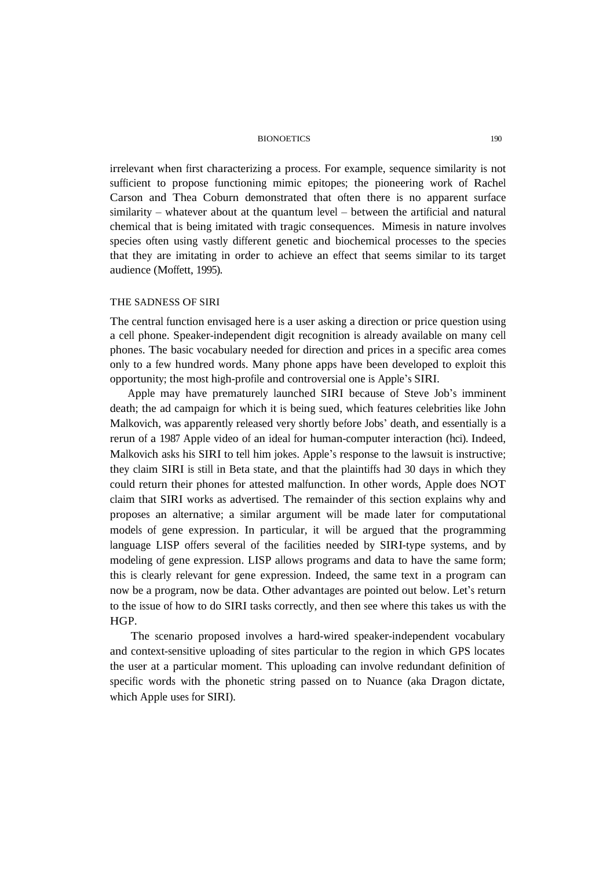irrelevant when first characterizing a process. For example, sequence similarity is not sufficient to propose functioning mimic epitopes; the pioneering work of Rachel Carson and Thea Coburn demonstrated that often there is no apparent surface similarity – whatever about at the quantum level – between the artificial and natural chemical that is being imitated with tragic consequences. Mimesis in nature involves species often using vastly different genetic and biochemical processes to the species that they are imitating in order to achieve an effect that seems similar to its target audience (Moffett, 1995).

# THE SADNESS OF SIRI

The central function envisaged here is a user asking a direction or price question using a cell phone. Speaker-independent digit recognition is already available on many cell phones. The basic vocabulary needed for direction and prices in a specific area comes only to a few hundred words. Many phone apps have been developed to exploit this opportunity; the most high-profile and controversial one is Apple's SIRI.

Apple may have prematurely launched SIRI because of Steve Job's imminent death; the ad campaign for which it is being sued, which features celebrities like John Malkovich, was apparently released very shortly before Jobs' death, and essentially is a rerun of a 1987 Apple video of an ideal for human-computer interaction (hci). Indeed, Malkovich asks his SIRI to tell him jokes. Apple's response to the lawsuit is instructive; they claim SIRI is still in Beta state, and that the plaintiffs had 30 days in which they could return their phones for attested malfunction. In other words, Apple does NOT claim that SIRI works as advertised. The remainder of this section explains why and proposes an alternative; a similar argument will be made later for computational models of gene expression. In particular, it will be argued that the programming language LISP offers several of the facilities needed by SIRI-type systems, and by modeling of gene expression. LISP allows programs and data to have the same form; this is clearly relevant for gene expression. Indeed, the same text in a program can now be a program, now be data. Other advantages are pointed out below. Let's return to the issue of how to do SIRI tasks correctly, and then see where this takes us with the HGP.

The scenario proposed involves a hard-wired speaker-independent vocabulary and context-sensitive uploading of sites particular to the region in which GPS locates the user at a particular moment. This uploading can involve redundant definition of specific words with the phonetic string passed on to Nuance (aka Dragon dictate, which Apple uses for SIRI).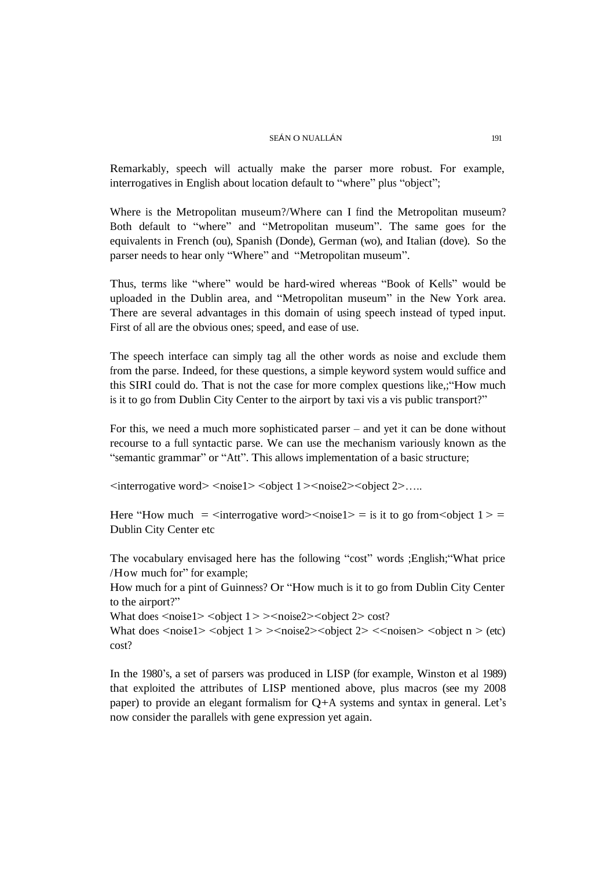Remarkably, speech will actually make the parser more robust. For example, interrogatives in English about location default to "where" plus "object";

Where is the Metropolitan museum?/Where can I find the Metropolitan museum? Both default to "where" and "Metropolitan museum". The same goes for the equivalents in French (ou), Spanish (Donde), German (wo), and Italian (dove). So the parser needs to hear only "Where" and "Metropolitan museum".

Thus, terms like "where" would be hard-wired whereas "Book of Kells" would be uploaded in the Dublin area, and "Metropolitan museum" in the New York area. There are several advantages in this domain of using speech instead of typed input. First of all are the obvious ones; speed, and ease of use.

The speech interface can simply tag all the other words as noise and exclude them from the parse. Indeed, for these questions, a simple keyword system would suffice and this SIRI could do. That is not the case for more complex questions like,;"How much is it to go from Dublin City Center to the airport by taxi vis a vis public transport?"

For this, we need a much more sophisticated parser – and yet it can be done without recourse to a full syntactic parse. We can use the mechanism variously known as the "semantic grammar" or "Att". This allows implementation of a basic structure;

<interrogative word> <noise1> <object 1><noise2><object 2>.....

Here "How much  $=$   $\langle$  interrogative word $\rangle$  $\langle$ noise1 $\rangle$  = is it to go from $\langle$ object 1 $\rangle$  = Dublin City Center etc

The vocabulary envisaged here has the following "cost" words ;English;"What price /How much for" for example;

How much for a pint of Guinness? Or "How much is it to go from Dublin City Center to the airport?"

What does  $\langle \text{noise1} \rangle \langle \text{object 1} \rangle \langle \text{noise2} \rangle \langle \text{object 2} \rangle \langle \text{cost?} \rangle$ 

What does  $\langle \text{noise1} \rangle \langle \text{object 1} \rangle \langle \text{noise2} \rangle \langle \text{object 2} \rangle \langle \text{noise2} \rangle \langle \text{noise2} \rangle \langle \text{object n} \rangle \langle \text{etc.} \rangle$ cost?

In the 1980's, a set of parsers was produced in LISP (for example, Winston et al 1989) that exploited the attributes of LISP mentioned above, plus macros (see my 2008 paper) to provide an elegant formalism for Q+A systems and syntax in general. Let's now consider the parallels with gene expression yet again.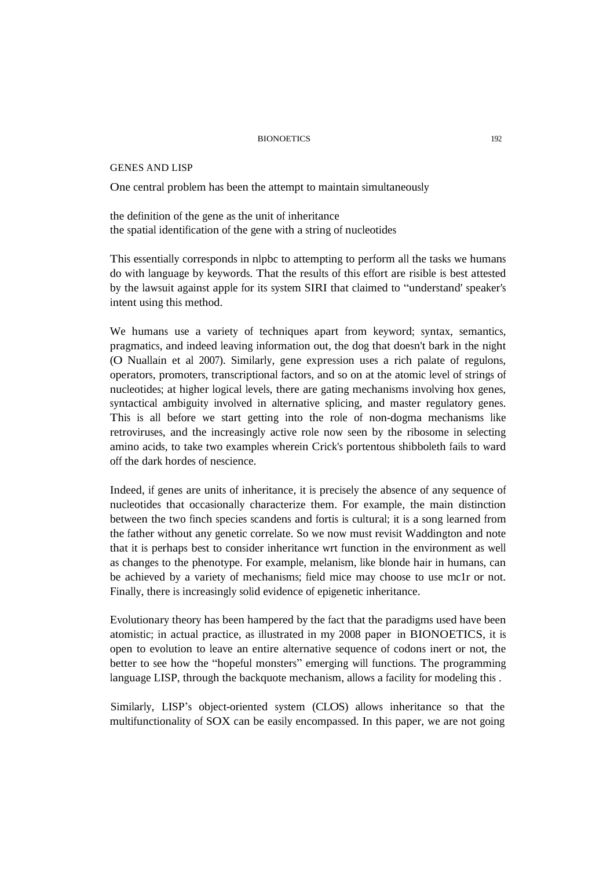GENES AND LISP

One central problem has been the attempt to maintain simultaneously

the definition of the gene as the unit of inheritance the spatial identification of the gene with a string of nucleotides

This essentially corresponds in nlpbc to attempting to perform all the tasks we humans do with language by keywords. That the results of this effort are risible is best attested by the lawsuit against apple for its system SIRI that claimed to "understand' speaker's intent using this method.

We humans use a variety of techniques apart from keyword; syntax, semantics, pragmatics, and indeed leaving information out, the dog that doesn't bark in the night (O Nuallain et al 2007). Similarly, gene expression uses a rich palate of regulons, operators, promoters, transcriptional factors, and so on at the atomic level of strings of nucleotides; at higher logical levels, there are gating mechanisms involving hox genes, syntactical ambiguity involved in alternative splicing, and master regulatory genes. This is all before we start getting into the role of non-dogma mechanisms like retroviruses, and the increasingly active role now seen by the ribosome in selecting amino acids, to take two examples wherein Crick's portentous shibboleth fails to ward off the dark hordes of nescience.

Indeed, if genes are units of inheritance, it is precisely the absence of any sequence of nucleotides that occasionally characterize them. For example, the main distinction between the two finch species scandens and fortis is cultural; it is a song learned from the father without any genetic correlate. So we now must revisit Waddington and note that it is perhaps best to consider inheritance wrt function in the environment as well as changes to the phenotype. For example, melanism, like blonde hair in humans, can be achieved by a variety of mechanisms; field mice may choose to use mc1r or not. Finally, there is increasingly solid evidence of epigenetic inheritance.

Evolutionary theory has been hampered by the fact that the paradigms used have been atomistic; in actual practice, as illustrated in my 2008 paper in BIONOETICS, it is open to evolution to leave an entire alternative sequence of codons inert or not, the better to see how the "hopeful monsters" emerging will functions. The programming language LISP, through the backquote mechanism, allows a facility for modeling this .

Similarly, LISP's object-oriented system (CLOS) allows inheritance so that the multifunctionality of SOX can be easily encompassed. In this paper, we are not going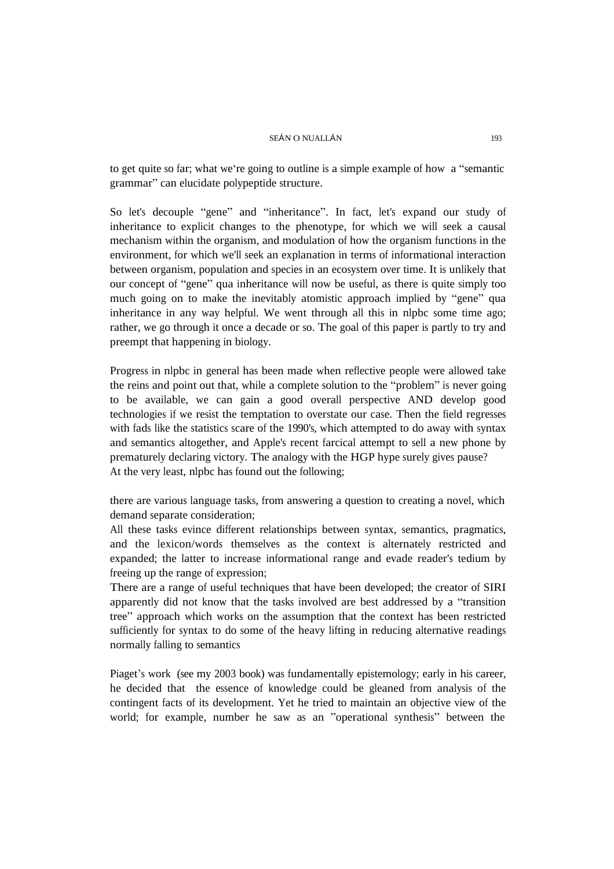to get quite so far; what we're going to outline is a simple example of how a "semantic grammar" can elucidate polypeptide structure.

So let's decouple "gene" and "inheritance". In fact, let's expand our study of inheritance to explicit changes to the phenotype, for which we will seek a causal mechanism within the organism, and modulation of how the organism functions in the environment, for which we'll seek an explanation in terms of informational interaction between organism, population and species in an ecosystem over time. It is unlikely that our concept of "gene" qua inheritance will now be useful, as there is quite simply too much going on to make the inevitably atomistic approach implied by "gene" qua inheritance in any way helpful. We went through all this in nlpbc some time ago; rather, we go through it once a decade or so. The goal of this paper is partly to try and preempt that happening in biology.

Progress in nlpbc in general has been made when reflective people were allowed take the reins and point out that, while a complete solution to the "problem" is never going to be available, we can gain a good overall perspective AND develop good technologies if we resist the temptation to overstate our case. Then the field regresses with fads like the statistics scare of the 1990's, which attempted to do away with syntax and semantics altogether, and Apple's recent farcical attempt to sell a new phone by prematurely declaring victory. The analogy with the HGP hype surely gives pause? At the very least, nlpbc has found out the following;

there are various language tasks, from answering a question to creating a novel, which demand separate consideration;

All these tasks evince different relationships between syntax, semantics, pragmatics, and the lexicon/words themselves as the context is alternately restricted and expanded; the latter to increase informational range and evade reader's tedium by freeing up the range of expression;

There are a range of useful techniques that have been developed; the creator of SIRI apparently did not know that the tasks involved are best addressed by a "transition tree" approach which works on the assumption that the context has been restricted sufficiently for syntax to do some of the heavy lifting in reducing alternative readings normally falling to semantics

Piaget's work (see my 2003 book) was fundamentally epistemology; early in his career, he decided that the essence of knowledge could be gleaned from analysis of the contingent facts of its development. Yet he tried to maintain an objective view of the world; for example, number he saw as an "operational synthesis" between the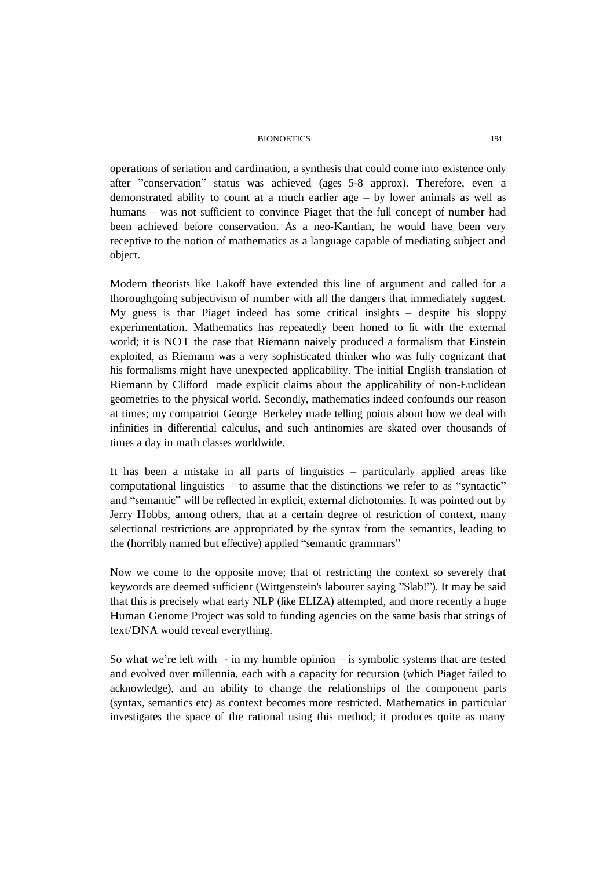operations of seriation and cardination, a synthesis that could come into existence only after "conservation" status was achieved (ages 5-8 approx). Therefore, even a demonstrated ability to count at a much earlier age – by lower animals as well as humans – was not sufficient to convince Piaget that the full concept of number had been achieved before conservation. As a neo-Kantian, he would have been very receptive to the notion of mathematics as a language capable of mediating subject and object.

Modern theorists like Lakoff have extended this line of argument and called for a thoroughgoing subjectivism of number with all the dangers that immediately suggest. My guess is that Piaget indeed has some critical insights – despite his sloppy experimentation. Mathematics has repeatedly been honed to fit with the external world; it is NOT the case that Riemann naively produced a formalism that Einstein exploited, as Riemann was a very sophisticated thinker who was fully cognizant that his formalisms might have unexpected applicability. The initial English translation of Riemann by Clifford made explicit claims about the applicability of non-Euclidean geometries to the physical world. Secondly, mathematics indeed confounds our reason at times; my compatriot George Berkeley made telling points about how we deal with infinities in differential calculus, and such antinomies are skated over thousands of times a day in math classes worldwide.

It has been a mistake in all parts of linguistics – particularly applied areas like computational linguistics – to assume that the distinctions we refer to as "syntactic" and "semantic" will be reflected in explicit, external dichotomies. It was pointed out by Jerry Hobbs, among others, that at a certain degree of restriction of context, many selectional restrictions are appropriated by the syntax from the semantics, leading to the (horribly named but effective) applied "semantic grammars"

Now we come to the opposite move; that of restricting the context so severely that keywords are deemed sufficient (Wittgenstein's labourer saying "Slab!"). It may be said that this is precisely what early NLP (like ELIZA) attempted, and more recently a huge Human Genome Project was sold to funding agencies on the same basis that strings of text/DNA would reveal everything.

So what we're left with - in my humble opinion – is symbolic systems that are tested and evolved over millennia, each with a capacity for recursion (which Piaget failed to acknowledge), and an ability to change the relationships of the component parts (syntax, semantics etc) as context becomes more restricted. Mathematics in particular investigates the space of the rational using this method; it produces quite as many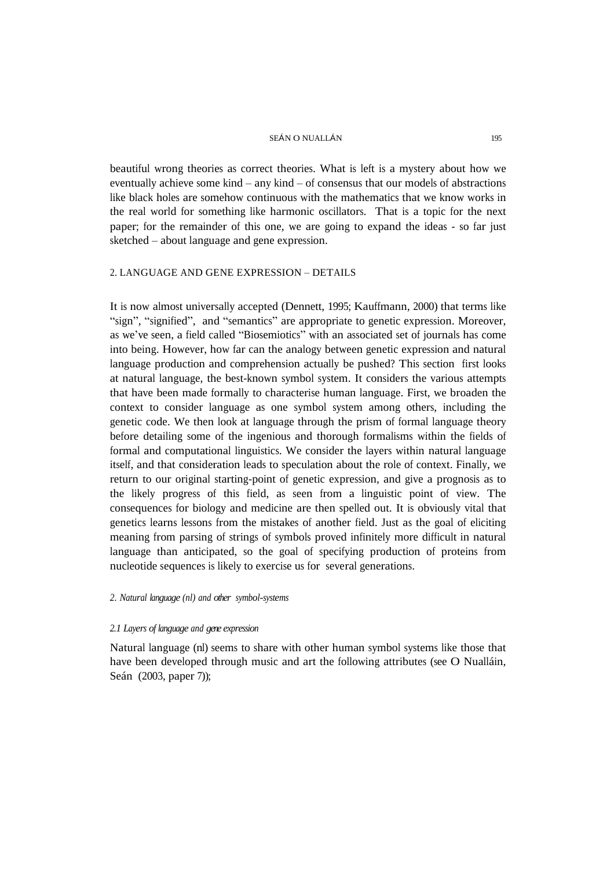beautiful wrong theories as correct theories. What is left is a mystery about how we eventually achieve some kind – any kind – of consensus that our models of abstractions like black holes are somehow continuous with the mathematics that we know works in the real world for something like harmonic oscillators. That is a topic for the next paper; for the remainder of this one, we are going to expand the ideas - so far just sketched – about language and gene expression.

## 2. LANGUAGE AND GENE EXPRESSION – DETAILS

It is now almost universally accepted (Dennett, 1995; Kauffmann, 2000) that terms like "sign", "signified", and "semantics" are appropriate to genetic expression. Moreover, as we've seen, a field called "Biosemiotics" with an associated set of journals has come into being. However, how far can the analogy between genetic expression and natural language production and comprehension actually be pushed? This section first looks at natural language, the best-known symbol system. It considers the various attempts that have been made formally to characterise human language. First, we broaden the context to consider language as one symbol system among others, including the genetic code. We then look at language through the prism of formal language theory before detailing some of the ingenious and thorough formalisms within the fields of formal and computational linguistics. We consider the layers within natural language itself, and that consideration leads to speculation about the role of context. Finally, we return to our original starting-point of genetic expression, and give a prognosis as to the likely progress of this field, as seen from a linguistic point of view. The consequences for biology and medicine are then spelled out. It is obviously vital that genetics learns lessons from the mistakes of another field. Just as the goal of eliciting meaning from parsing of strings of symbols proved infinitely more difficult in natural language than anticipated, so the goal of specifying production of proteins from nucleotide sequences is likely to exercise us for several generations.

# *2. Natural language (nl) and other symbol-systems*

## *2.1 Layers of language and gene expression*

Natural language (nl) seems to share with other human symbol systems like those that have been developed through music and art the following attributes (see O Nualláin, Seán (2003, paper 7));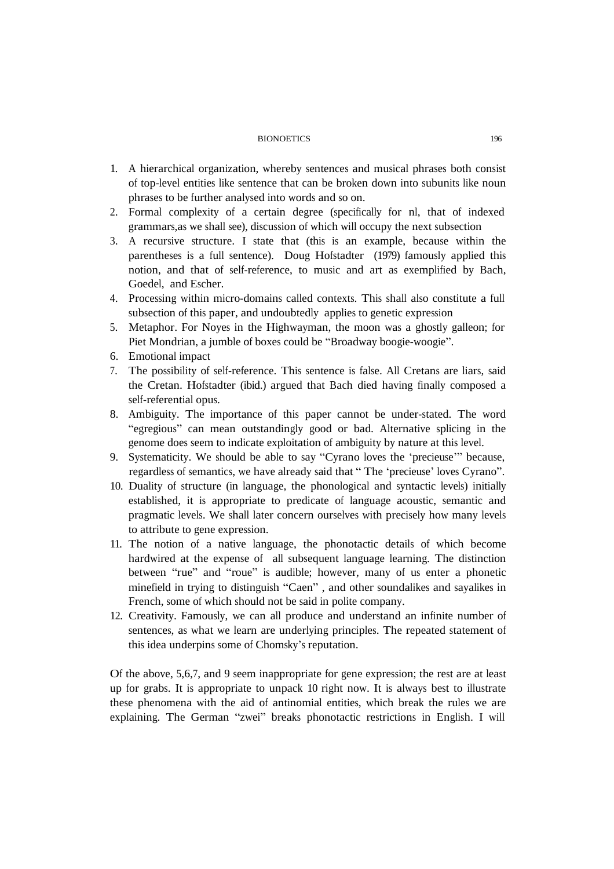- 1. A hierarchical organization, whereby sentences and musical phrases both consist of top-level entities like sentence that can be broken down into subunits like noun phrases to be further analysed into words and so on.
- 2. Formal complexity of a certain degree (specifically for nl, that of indexed grammars,as we shall see), discussion of which will occupy the next subsection
- 3. A recursive structure. I state that (this is an example, because within the parentheses is a full sentence). Doug Hofstadter (1979) famously applied this notion, and that of self-reference, to music and art as exemplified by Bach, Goedel, and Escher.
- 4. Processing within micro-domains called contexts. This shall also constitute a full subsection of this paper, and undoubtedly applies to genetic expression
- 5. Metaphor. For Noyes in the Highwayman, the moon was a ghostly galleon; for Piet Mondrian, a jumble of boxes could be "Broadway boogie-woogie".
- 6. Emotional impact
- 7. The possibility of self-reference. This sentence is false. All Cretans are liars, said the Cretan. Hofstadter (ibid.) argued that Bach died having finally composed a self-referential opus.
- 8. Ambiguity. The importance of this paper cannot be under-stated. The word "egregious" can mean outstandingly good or bad. Alternative splicing in the genome does seem to indicate exploitation of ambiguity by nature at this level.
- 9. Systematicity. We should be able to say "Cyrano loves the 'precieuse'" because, regardless of semantics, we have already said that " The 'precieuse' loves Cyrano".
- 10. Duality of structure (in language, the phonological and syntactic levels) initially established, it is appropriate to predicate of language acoustic, semantic and pragmatic levels. We shall later concern ourselves with precisely how many levels to attribute to gene expression.
- 11. The notion of a native language, the phonotactic details of which become hardwired at the expense of all subsequent language learning. The distinction between "rue" and "roue" is audible; however, many of us enter a phonetic minefield in trying to distinguish "Caen" , and other soundalikes and sayalikes in French, some of which should not be said in polite company.
- 12. Creativity. Famously, we can all produce and understand an infinite number of sentences, as what we learn are underlying principles. The repeated statement of this idea underpins some of Chomsky's reputation.

Of the above, 5,6,7, and 9 seem inappropriate for gene expression; the rest are at least up for grabs. It is appropriate to unpack 10 right now. It is always best to illustrate these phenomena with the aid of antinomial entities, which break the rules we are explaining. The German "zwei" breaks phonotactic restrictions in English. I will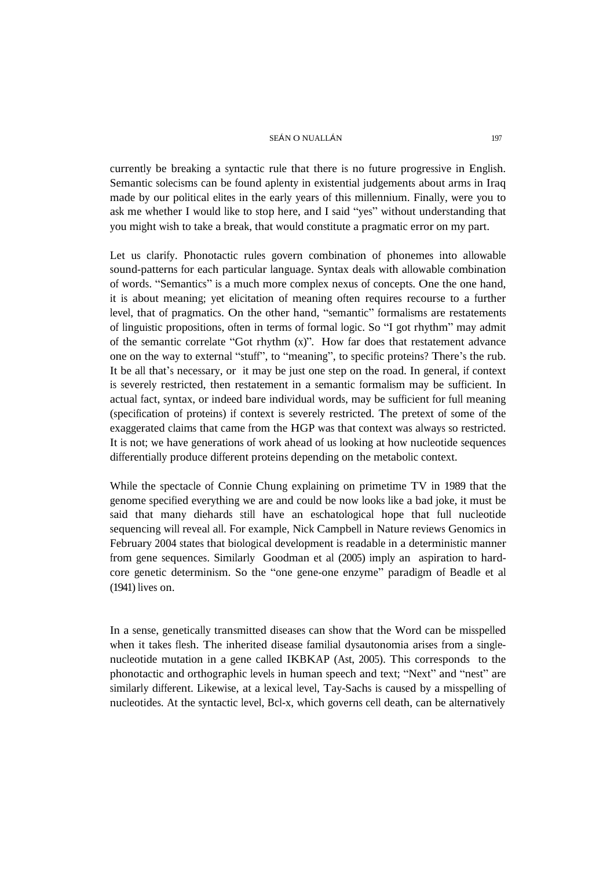currently be breaking a syntactic rule that there is no future progressive in English. Semantic solecisms can be found aplenty in existential judgements about arms in Iraq made by our political elites in the early years of this millennium. Finally, were you to ask me whether I would like to stop here, and I said "yes" without understanding that you might wish to take a break, that would constitute a pragmatic error on my part.

Let us clarify. Phonotactic rules govern combination of phonemes into allowable sound-patterns for each particular language. Syntax deals with allowable combination of words. "Semantics" is a much more complex nexus of concepts. One the one hand, it is about meaning; yet elicitation of meaning often requires recourse to a further level, that of pragmatics. On the other hand, "semantic" formalisms are restatements of linguistic propositions, often in terms of formal logic. So "I got rhythm" may admit of the semantic correlate "Got rhythm  $(x)$ ". How far does that restatement advance one on the way to external "stuff", to "meaning", to specific proteins? There's the rub. It be all that's necessary, or it may be just one step on the road. In general, if context is severely restricted, then restatement in a semantic formalism may be sufficient. In actual fact, syntax, or indeed bare individual words, may be sufficient for full meaning (specification of proteins) if context is severely restricted. The pretext of some of the exaggerated claims that came from the HGP was that context was always so restricted. It is not; we have generations of work ahead of us looking at how nucleotide sequences differentially produce different proteins depending on the metabolic context.

While the spectacle of Connie Chung explaining on primetime TV in 1989 that the genome specified everything we are and could be now looks like a bad joke, it must be said that many diehards still have an eschatological hope that full nucleotide sequencing will reveal all. For example, Nick Campbell in Nature reviews Genomics in February 2004 states that biological development is readable in a deterministic manner from gene sequences. Similarly Goodman et al (2005) imply an aspiration to hardcore genetic determinism. So the "one gene-one enzyme" paradigm of Beadle et al (1941) lives on.

In a sense, genetically transmitted diseases can show that the Word can be misspelled when it takes flesh. The inherited disease familial dysautonomia arises from a singlenucleotide mutation in a gene called IKBKAP (Ast, 2005). This corresponds to the phonotactic and orthographic levels in human speech and text; "Next" and "nest" are similarly different. Likewise, at a lexical level, Tay-Sachs is caused by a misspelling of nucleotides. At the syntactic level, Bcl-x, which governs cell death, can be alternatively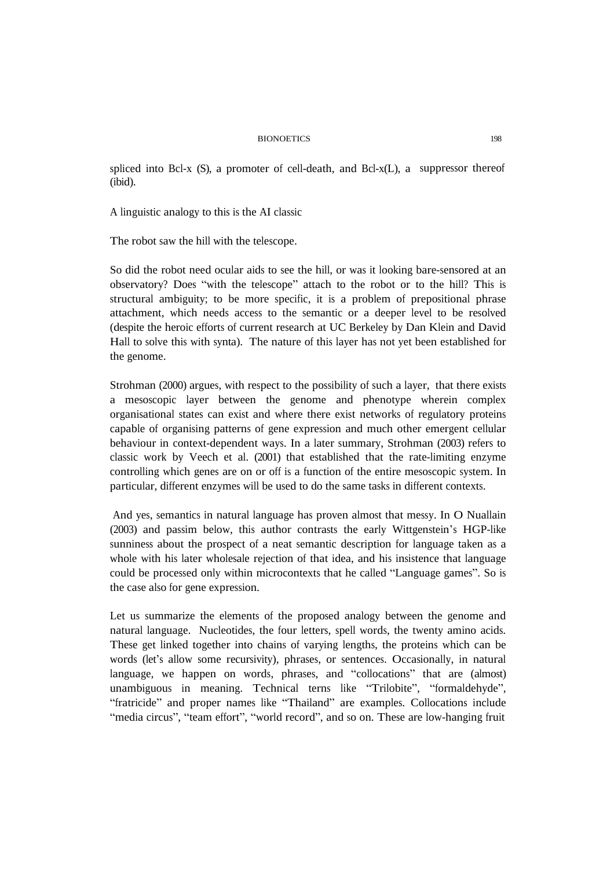spliced into Bcl-x (S), a promoter of cell-death, and Bcl-x(L), a suppressor thereof (ibid).

A linguistic analogy to this is the AI classic

The robot saw the hill with the telescope.

So did the robot need ocular aids to see the hill, or was it looking bare-sensored at an observatory? Does "with the telescope" attach to the robot or to the hill? This is structural ambiguity; to be more specific, it is a problem of prepositional phrase attachment, which needs access to the semantic or a deeper level to be resolved (despite the heroic efforts of current research at UC Berkeley by Dan Klein and David Hall to solve this with synta). The nature of this layer has not yet been established for the genome.

Strohman (2000) argues, with respect to the possibility of such a layer, that there exists a mesoscopic layer between the genome and phenotype wherein complex organisational states can exist and where there exist networks of regulatory proteins capable of organising patterns of gene expression and much other emergent cellular behaviour in context-dependent ways. In a later summary, Strohman (2003) refers to classic work by Veech et al. (2001) that established that the rate-limiting enzyme controlling which genes are on or off is a function of the entire mesoscopic system. In particular, different enzymes will be used to do the same tasks in different contexts.

And yes, semantics in natural language has proven almost that messy. In O Nuallain (2003) and passim below, this author contrasts the early Wittgenstein's HGP-like sunniness about the prospect of a neat semantic description for language taken as a whole with his later wholesale rejection of that idea, and his insistence that language could be processed only within microcontexts that he called "Language games". So is the case also for gene expression.

Let us summarize the elements of the proposed analogy between the genome and natural language. Nucleotides, the four letters, spell words, the twenty amino acids. These get linked together into chains of varying lengths, the proteins which can be words (let's allow some recursivity), phrases, or sentences. Occasionally, in natural language, we happen on words, phrases, and "collocations" that are (almost) unambiguous in meaning. Technical terns like "Trilobite", "formaldehyde", "fratricide" and proper names like "Thailand" are examples. Collocations include "media circus", "team effort", "world record", and so on. These are low-hanging fruit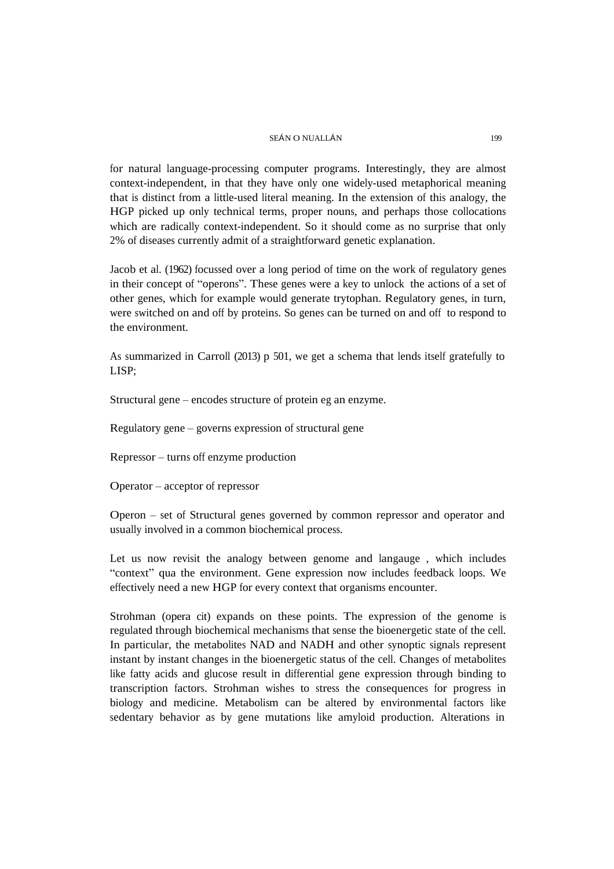for natural language-processing computer programs. Interestingly, they are almost context-independent, in that they have only one widely-used metaphorical meaning that is distinct from a little-used literal meaning. In the extension of this analogy, the HGP picked up only technical terms, proper nouns, and perhaps those collocations which are radically context-independent. So it should come as no surprise that only 2% of diseases currently admit of a straightforward genetic explanation.

Jacob et al. (1962) focussed over a long period of time on the work of regulatory genes in their concept of "operons". These genes were a key to unlock the actions of a set of other genes, which for example would generate trytophan. Regulatory genes, in turn, were switched on and off by proteins. So genes can be turned on and off to respond to the environment.

As summarized in Carroll (2013) p 501, we get a schema that lends itself gratefully to LISP;

Structural gene – encodes structure of protein eg an enzyme.

Regulatory gene – governs expression of structural gene

Repressor – turns off enzyme production

Operator – acceptor of repressor

Operon – set of Structural genes governed by common repressor and operator and usually involved in a common biochemical process.

Let us now revisit the analogy between genome and langauge , which includes "context" qua the environment. Gene expression now includes feedback loops. We effectively need a new HGP for every context that organisms encounter.

Strohman (opera cit) expands on these points. The expression of the genome is regulated through biochemical mechanisms that sense the bioenergetic state of the cell. In particular, the metabolites NAD and NADH and other synoptic signals represent instant by instant changes in the bioenergetic status of the cell. Changes of metabolites like fatty acids and glucose result in differential gene expression through binding to transcription factors. Strohman wishes to stress the consequences for progress in biology and medicine. Metabolism can be altered by environmental factors like sedentary behavior as by gene mutations like amyloid production. Alterations in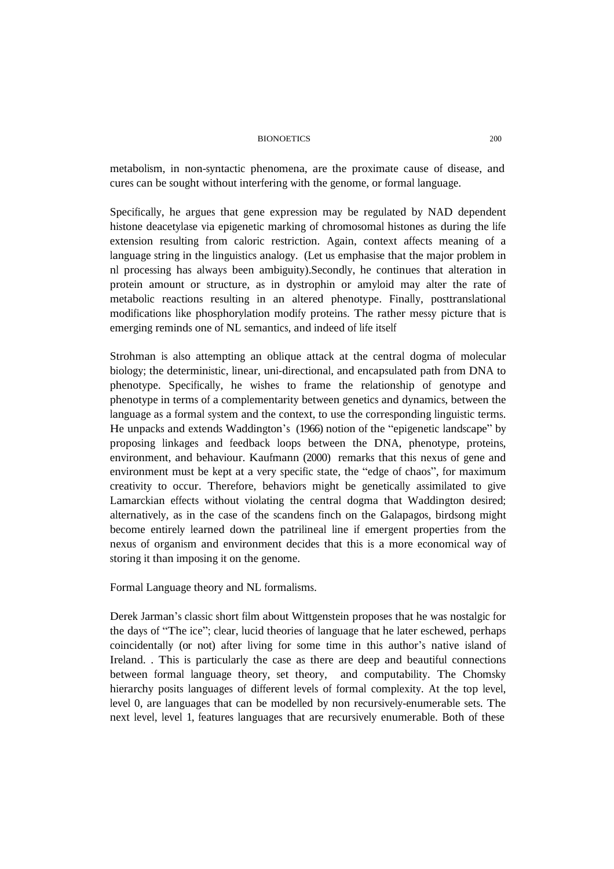metabolism, in non-syntactic phenomena, are the proximate cause of disease, and cures can be sought without interfering with the genome, or formal language.

Specifically, he argues that gene expression may be regulated by NAD dependent histone deacetylase via epigenetic marking of chromosomal histones as during the life extension resulting from caloric restriction. Again, context affects meaning of a language string in the linguistics analogy. (Let us emphasise that the major problem in nl processing has always been ambiguity).Secondly, he continues that alteration in protein amount or structure, as in dystrophin or amyloid may alter the rate of metabolic reactions resulting in an altered phenotype. Finally, posttranslational modifications like phosphorylation modify proteins. The rather messy picture that is emerging reminds one of NL semantics, and indeed of life itself

Strohman is also attempting an oblique attack at the central dogma of molecular biology; the deterministic, linear, uni-directional, and encapsulated path from DNA to phenotype. Specifically, he wishes to frame the relationship of genotype and phenotype in terms of a complementarity between genetics and dynamics, between the language as a formal system and the context, to use the corresponding linguistic terms. He unpacks and extends Waddington's (1966) notion of the "epigenetic landscape" by proposing linkages and feedback loops between the DNA, phenotype, proteins, environment, and behaviour. Kaufmann (2000) remarks that this nexus of gene and environment must be kept at a very specific state, the "edge of chaos", for maximum creativity to occur. Therefore, behaviors might be genetically assimilated to give Lamarckian effects without violating the central dogma that Waddington desired; alternatively, as in the case of the scandens finch on the Galapagos, birdsong might become entirely learned down the patrilineal line if emergent properties from the nexus of organism and environment decides that this is a more economical way of storing it than imposing it on the genome.

Formal Language theory and NL formalisms.

Derek Jarman's classic short film about Wittgenstein proposes that he was nostalgic for the days of "The ice"; clear, lucid theories of language that he later eschewed, perhaps coincidentally (or not) after living for some time in this author's native island of Ireland. . This is particularly the case as there are deep and beautiful connections between formal language theory, set theory, and computability. The Chomsky hierarchy posits languages of different levels of formal complexity. At the top level, level 0, are languages that can be modelled by non recursively-enumerable sets. The next level, level 1, features languages that are recursively enumerable. Both of these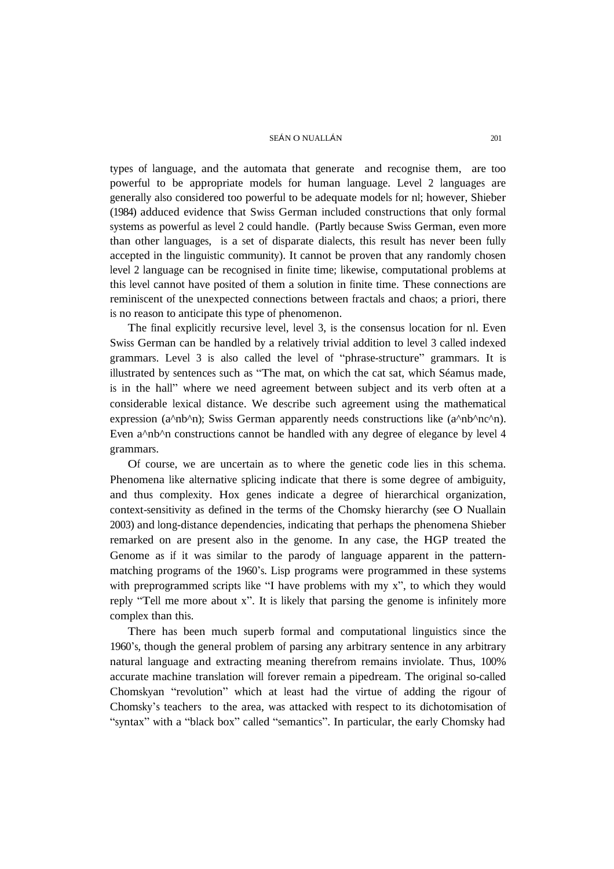types of language, and the automata that generate and recognise them, are too powerful to be appropriate models for human language. Level 2 languages are generally also considered too powerful to be adequate models for nl; however, Shieber (1984) adduced evidence that Swiss German included constructions that only formal systems as powerful as level 2 could handle. (Partly because Swiss German, even more than other languages, is a set of disparate dialects, this result has never been fully accepted in the linguistic community). It cannot be proven that any randomly chosen level 2 language can be recognised in finite time; likewise, computational problems at this level cannot have posited of them a solution in finite time. These connections are reminiscent of the unexpected connections between fractals and chaos; a priori, there is no reason to anticipate this type of phenomenon.

The final explicitly recursive level, level 3, is the consensus location for nl. Even Swiss German can be handled by a relatively trivial addition to level 3 called indexed grammars. Level 3 is also called the level of "phrase-structure" grammars. It is illustrated by sentences such as "The mat, on which the cat sat, which Séamus made, is in the hall" where we need agreement between subject and its verb often at a considerable lexical distance. We describe such agreement using the mathematical expression (a^nb^n); Swiss German apparently needs constructions like (a^nb^nc^n). Even a<sup> $\Delta$ </sup>nb<sup> $\Delta$ </sup>n constructions cannot be handled with any degree of elegance by level 4 grammars.

Of course, we are uncertain as to where the genetic code lies in this schema. Phenomena like alternative splicing indicate that there is some degree of ambiguity, and thus complexity. Hox genes indicate a degree of hierarchical organization, context-sensitivity as defined in the terms of the Chomsky hierarchy (see O Nuallain 2003) and long-distance dependencies, indicating that perhaps the phenomena Shieber remarked on are present also in the genome. In any case, the HGP treated the Genome as if it was similar to the parody of language apparent in the patternmatching programs of the 1960's. Lisp programs were programmed in these systems with preprogrammed scripts like "I have problems with my x", to which they would reply "Tell me more about x". It is likely that parsing the genome is infinitely more complex than this.

There has been much superb formal and computational linguistics since the 1960's, though the general problem of parsing any arbitrary sentence in any arbitrary natural language and extracting meaning therefrom remains inviolate. Thus, 100% accurate machine translation will forever remain a pipedream. The original so-called Chomskyan "revolution" which at least had the virtue of adding the rigour of Chomsky's teachers to the area, was attacked with respect to its dichotomisation of "syntax" with a "black box" called "semantics". In particular, the early Chomsky had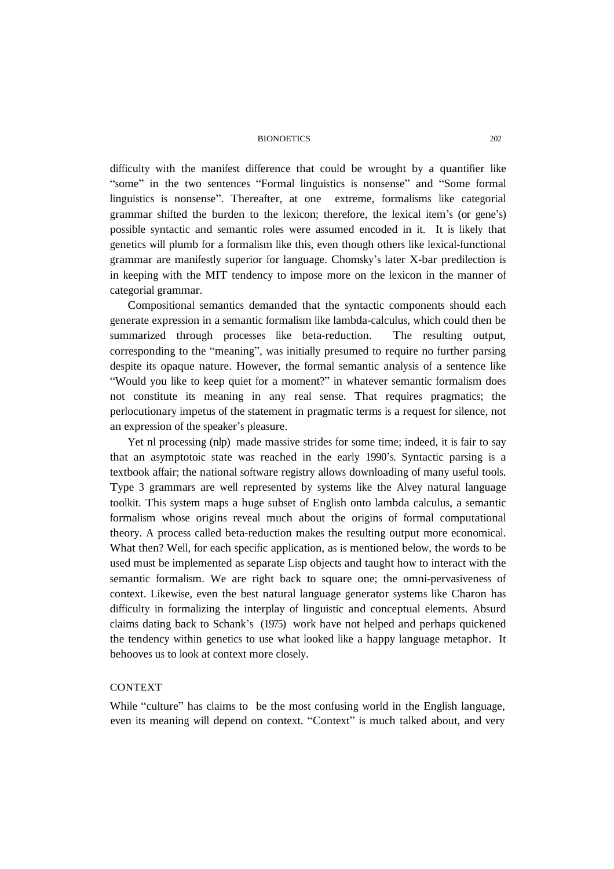difficulty with the manifest difference that could be wrought by a quantifier like "some" in the two sentences "Formal linguistics is nonsense" and "Some formal linguistics is nonsense". Thereafter, at one extreme, formalisms like categorial grammar shifted the burden to the lexicon; therefore, the lexical item's (or gene's) possible syntactic and semantic roles were assumed encoded in it. It is likely that genetics will plumb for a formalism like this, even though others like lexical-functional grammar are manifestly superior for language. Chomsky's later X-bar predilection is in keeping with the MIT tendency to impose more on the lexicon in the manner of categorial grammar.

Compositional semantics demanded that the syntactic components should each generate expression in a semantic formalism like lambda-calculus, which could then be summarized through processes like beta-reduction. The resulting output, corresponding to the "meaning", was initially presumed to require no further parsing despite its opaque nature. However, the formal semantic analysis of a sentence like "Would you like to keep quiet for a moment?" in whatever semantic formalism does not constitute its meaning in any real sense. That requires pragmatics; the perlocutionary impetus of the statement in pragmatic terms is a request for silence, not an expression of the speaker's pleasure.

Yet nl processing (nlp) made massive strides for some time; indeed, it is fair to say that an asymptotoic state was reached in the early 1990's. Syntactic parsing is a textbook affair; the national software registry allows downloading of many useful tools. Type 3 grammars are well represented by systems like the Alvey natural language toolkit. This system maps a huge subset of English onto lambda calculus, a semantic formalism whose origins reveal much about the origins of formal computational theory. A process called beta-reduction makes the resulting output more economical. What then? Well, for each specific application, as is mentioned below, the words to be used must be implemented as separate Lisp objects and taught how to interact with the semantic formalism. We are right back to square one; the omni-pervasiveness of context. Likewise, even the best natural language generator systems like Charon has difficulty in formalizing the interplay of linguistic and conceptual elements. Absurd claims dating back to Schank's (1975) work have not helped and perhaps quickened the tendency within genetics to use what looked like a happy language metaphor. It behooves us to look at context more closely.

# **CONTEXT**

While "culture" has claims to be the most confusing world in the English language, even its meaning will depend on context. "Context" is much talked about, and very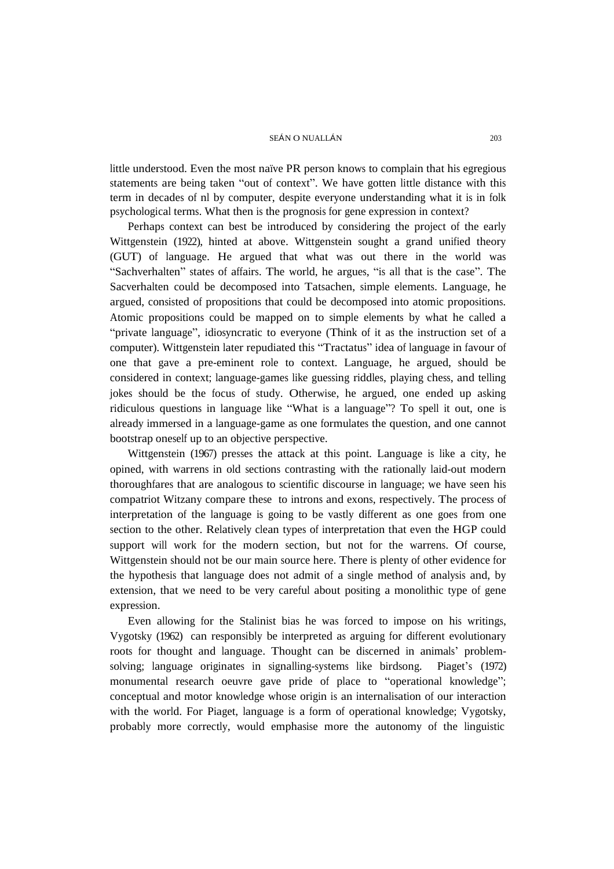little understood. Even the most naïve PR person knows to complain that his egregious statements are being taken "out of context". We have gotten little distance with this term in decades of nl by computer, despite everyone understanding what it is in folk psychological terms. What then is the prognosis for gene expression in context?

Perhaps context can best be introduced by considering the project of the early Wittgenstein (1922), hinted at above. Wittgenstein sought a grand unified theory (GUT) of language. He argued that what was out there in the world was "Sachverhalten" states of affairs. The world, he argues, "is all that is the case". The Sacverhalten could be decomposed into Tatsachen, simple elements. Language, he argued, consisted of propositions that could be decomposed into atomic propositions. Atomic propositions could be mapped on to simple elements by what he called a "private language", idiosyncratic to everyone (Think of it as the instruction set of a computer). Wittgenstein later repudiated this "Tractatus" idea of language in favour of one that gave a pre-eminent role to context. Language, he argued, should be considered in context; language-games like guessing riddles, playing chess, and telling jokes should be the focus of study. Otherwise, he argued, one ended up asking ridiculous questions in language like "What is a language"? To spell it out, one is already immersed in a language-game as one formulates the question, and one cannot bootstrap oneself up to an objective perspective.

Wittgenstein (1967) presses the attack at this point. Language is like a city, he opined, with warrens in old sections contrasting with the rationally laid-out modern thoroughfares that are analogous to scientific discourse in language; we have seen his compatriot Witzany compare these to introns and exons, respectively. The process of interpretation of the language is going to be vastly different as one goes from one section to the other. Relatively clean types of interpretation that even the HGP could support will work for the modern section, but not for the warrens. Of course, Wittgenstein should not be our main source here. There is plenty of other evidence for the hypothesis that language does not admit of a single method of analysis and, by extension, that we need to be very careful about positing a monolithic type of gene expression.

Even allowing for the Stalinist bias he was forced to impose on his writings, Vygotsky (1962) can responsibly be interpreted as arguing for different evolutionary roots for thought and language. Thought can be discerned in animals' problemsolving; language originates in signalling-systems like birdsong. Piaget's (1972) monumental research oeuvre gave pride of place to "operational knowledge"; conceptual and motor knowledge whose origin is an internalisation of our interaction with the world. For Piaget, language is a form of operational knowledge; Vygotsky, probably more correctly, would emphasise more the autonomy of the linguistic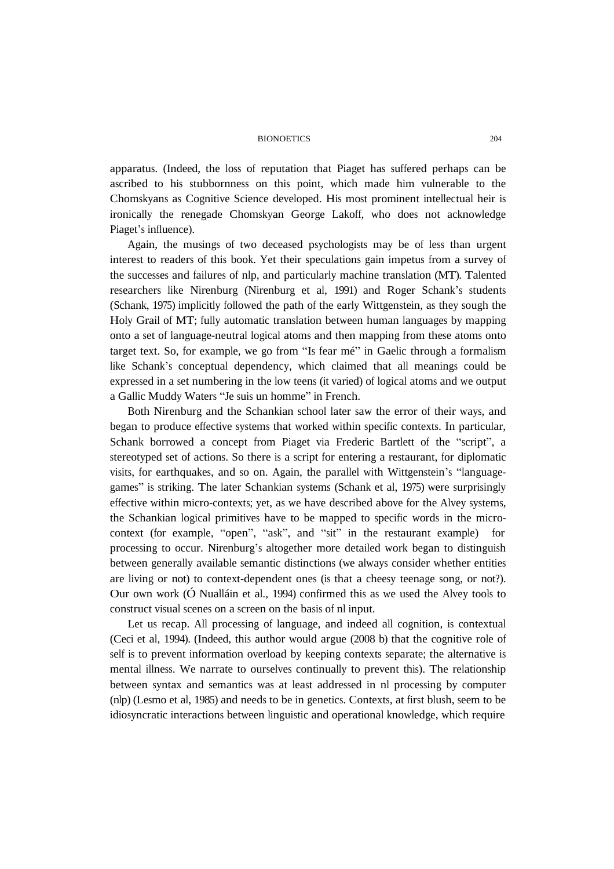apparatus. (Indeed, the loss of reputation that Piaget has suffered perhaps can be ascribed to his stubbornness on this point, which made him vulnerable to the Chomskyans as Cognitive Science developed. His most prominent intellectual heir is ironically the renegade Chomskyan George Lakoff, who does not acknowledge Piaget's influence).

Again, the musings of two deceased psychologists may be of less than urgent interest to readers of this book. Yet their speculations gain impetus from a survey of the successes and failures of nlp, and particularly machine translation (MT). Talented researchers like Nirenburg (Nirenburg et al, 1991) and Roger Schank's students (Schank, 1975) implicitly followed the path of the early Wittgenstein, as they sough the Holy Grail of MT; fully automatic translation between human languages by mapping onto a set of language-neutral logical atoms and then mapping from these atoms onto target text. So, for example, we go from "Is fear mé" in Gaelic through a formalism like Schank's conceptual dependency, which claimed that all meanings could be expressed in a set numbering in the low teens (it varied) of logical atoms and we output a Gallic Muddy Waters "Je suis un homme" in French.

Both Nirenburg and the Schankian school later saw the error of their ways, and began to produce effective systems that worked within specific contexts. In particular, Schank borrowed a concept from Piaget via Frederic Bartlett of the "script", a stereotyped set of actions. So there is a script for entering a restaurant, for diplomatic visits, for earthquakes, and so on. Again, the parallel with Wittgenstein's "languagegames" is striking. The later Schankian systems (Schank et al, 1975) were surprisingly effective within micro-contexts; yet, as we have described above for the Alvey systems, the Schankian logical primitives have to be mapped to specific words in the microcontext (for example, "open", "ask", and "sit" in the restaurant example) for processing to occur. Nirenburg's altogether more detailed work began to distinguish between generally available semantic distinctions (we always consider whether entities are living or not) to context-dependent ones (is that a cheesy teenage song, or not?). Our own work (Ó Nualláin et al., 1994) confirmed this as we used the Alvey tools to construct visual scenes on a screen on the basis of nl input.

Let us recap. All processing of language, and indeed all cognition, is contextual (Ceci et al, 1994). (Indeed, this author would argue (2008 b) that the cognitive role of self is to prevent information overload by keeping contexts separate; the alternative is mental illness. We narrate to ourselves continually to prevent this). The relationship between syntax and semantics was at least addressed in nl processing by computer (nlp) (Lesmo et al, 1985) and needs to be in genetics. Contexts, at first blush, seem to be idiosyncratic interactions between linguistic and operational knowledge, which require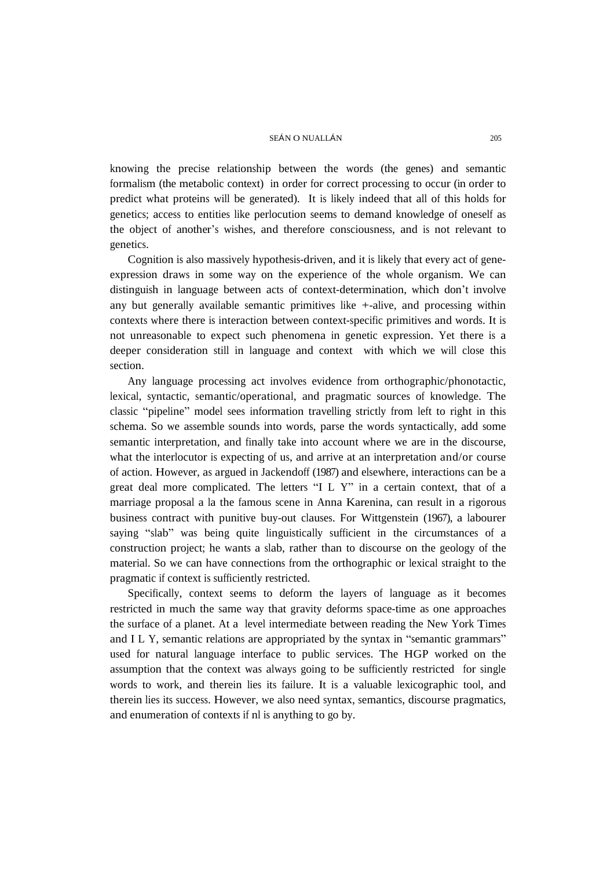knowing the precise relationship between the words (the genes) and semantic formalism (the metabolic context) in order for correct processing to occur (in order to predict what proteins will be generated). It is likely indeed that all of this holds for genetics; access to entities like perlocution seems to demand knowledge of oneself as the object of another's wishes, and therefore consciousness, and is not relevant to genetics.

Cognition is also massively hypothesis-driven, and it is likely that every act of geneexpression draws in some way on the experience of the whole organism. We can distinguish in language between acts of context-determination, which don't involve any but generally available semantic primitives like +-alive, and processing within contexts where there is interaction between context-specific primitives and words. It is not unreasonable to expect such phenomena in genetic expression. Yet there is a deeper consideration still in language and context with which we will close this section.

Any language processing act involves evidence from orthographic/phonotactic, lexical, syntactic, semantic/operational, and pragmatic sources of knowledge. The classic "pipeline" model sees information travelling strictly from left to right in this schema. So we assemble sounds into words, parse the words syntactically, add some semantic interpretation, and finally take into account where we are in the discourse, what the interlocutor is expecting of us, and arrive at an interpretation and/or course of action. However, as argued in Jackendoff (1987) and elsewhere, interactions can be a great deal more complicated. The letters "I L Y" in a certain context, that of a marriage proposal a la the famous scene in Anna Karenina, can result in a rigorous business contract with punitive buy-out clauses. For Wittgenstein (1967), a labourer saying "slab" was being quite linguistically sufficient in the circumstances of a construction project; he wants a slab, rather than to discourse on the geology of the material. So we can have connections from the orthographic or lexical straight to the pragmatic if context is sufficiently restricted.

Specifically, context seems to deform the layers of language as it becomes restricted in much the same way that gravity deforms space-time as one approaches the surface of a planet. At a level intermediate between reading the New York Times and I L Y, semantic relations are appropriated by the syntax in "semantic grammars" used for natural language interface to public services. The HGP worked on the assumption that the context was always going to be sufficiently restricted for single words to work, and therein lies its failure. It is a valuable lexicographic tool, and therein lies its success. However, we also need syntax, semantics, discourse pragmatics, and enumeration of contexts if nl is anything to go by.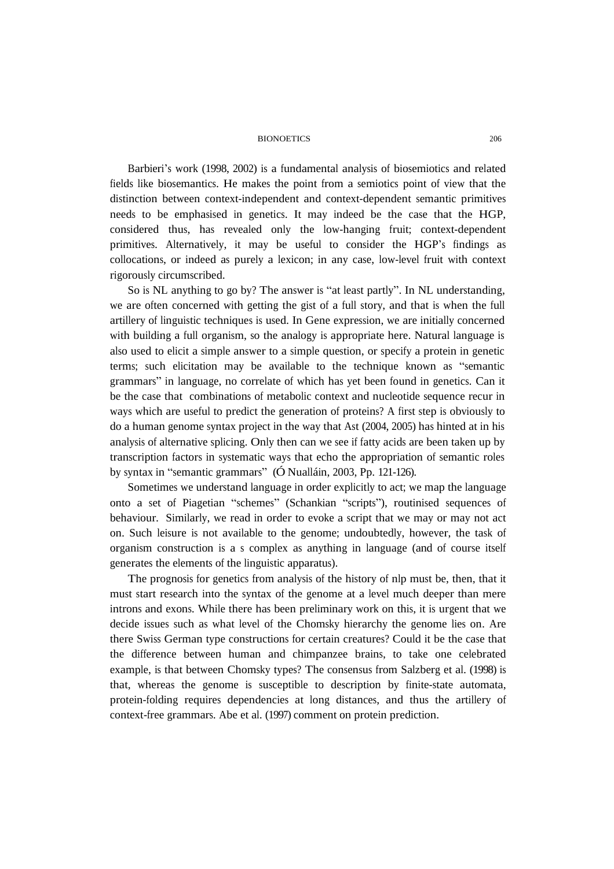Barbieri's work (1998, 2002) is a fundamental analysis of biosemiotics and related fields like biosemantics. He makes the point from a semiotics point of view that the distinction between context-independent and context-dependent semantic primitives needs to be emphasised in genetics. It may indeed be the case that the HGP, considered thus, has revealed only the low-hanging fruit; context-dependent primitives. Alternatively, it may be useful to consider the HGP's findings as collocations, or indeed as purely a lexicon; in any case, low-level fruit with context rigorously circumscribed.

So is NL anything to go by? The answer is "at least partly". In NL understanding, we are often concerned with getting the gist of a full story, and that is when the full artillery of linguistic techniques is used. In Gene expression, we are initially concerned with building a full organism, so the analogy is appropriate here. Natural language is also used to elicit a simple answer to a simple question, or specify a protein in genetic terms; such elicitation may be available to the technique known as "semantic grammars" in language, no correlate of which has yet been found in genetics. Can it be the case that combinations of metabolic context and nucleotide sequence recur in ways which are useful to predict the generation of proteins? A first step is obviously to do a human genome syntax project in the way that Ast (2004, 2005) has hinted at in his analysis of alternative splicing. Only then can we see if fatty acids are been taken up by transcription factors in systematic ways that echo the appropriation of semantic roles by syntax in "semantic grammars" (Ó Nualláin, 2003, Pp. 121-126).

Sometimes we understand language in order explicitly to act; we map the language onto a set of Piagetian "schemes" (Schankian "scripts"), routinised sequences of behaviour. Similarly, we read in order to evoke a script that we may or may not act on. Such leisure is not available to the genome; undoubtedly, however, the task of organism construction is a s complex as anything in language (and of course itself generates the elements of the linguistic apparatus).

The prognosis for genetics from analysis of the history of nlp must be, then, that it must start research into the syntax of the genome at a level much deeper than mere introns and exons. While there has been preliminary work on this, it is urgent that we decide issues such as what level of the Chomsky hierarchy the genome lies on. Are there Swiss German type constructions for certain creatures? Could it be the case that the difference between human and chimpanzee brains, to take one celebrated example, is that between Chomsky types? The consensus from Salzberg et al. (1998) is that, whereas the genome is susceptible to description by finite-state automata, protein-folding requires dependencies at long distances, and thus the artillery of context-free grammars. Abe et al. (1997) comment on protein prediction.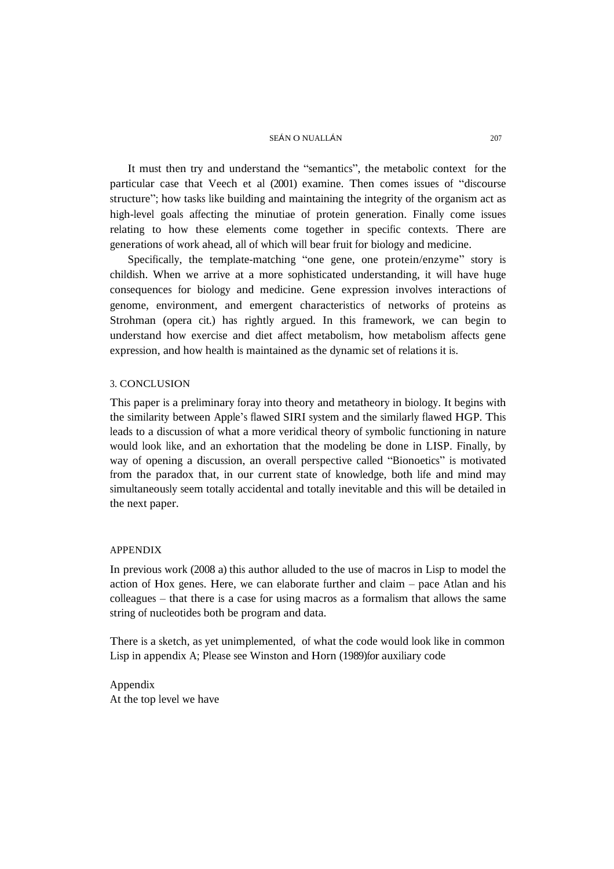It must then try and understand the "semantics", the metabolic context for the particular case that Veech et al (2001) examine. Then comes issues of "discourse structure"; how tasks like building and maintaining the integrity of the organism act as high-level goals affecting the minutiae of protein generation. Finally come issues relating to how these elements come together in specific contexts. There are generations of work ahead, all of which will bear fruit for biology and medicine.

Specifically, the template-matching "one gene, one protein/enzyme" story is childish. When we arrive at a more sophisticated understanding, it will have huge consequences for biology and medicine. Gene expression involves interactions of genome, environment, and emergent characteristics of networks of proteins as Strohman (opera cit.) has rightly argued. In this framework, we can begin to understand how exercise and diet affect metabolism, how metabolism affects gene expression, and how health is maintained as the dynamic set of relations it is.

## 3. CONCLUSION

This paper is a preliminary foray into theory and metatheory in biology. It begins with the similarity between Apple's flawed SIRI system and the similarly flawed HGP. This leads to a discussion of what a more veridical theory of symbolic functioning in nature would look like, and an exhortation that the modeling be done in LISP. Finally, by way of opening a discussion, an overall perspective called "Bionoetics" is motivated from the paradox that, in our current state of knowledge, both life and mind may simultaneously seem totally accidental and totally inevitable and this will be detailed in the next paper.

## APPENDIX

In previous work (2008 a) this author alluded to the use of macros in Lisp to model the action of Hox genes. Here, we can elaborate further and claim – pace Atlan and his colleagues – that there is a case for using macros as a formalism that allows the same string of nucleotides both be program and data.

There is a sketch, as yet unimplemented, of what the code would look like in common Lisp in appendix A; Please see Winston and Horn (1989)for auxiliary code

Appendix At the top level we have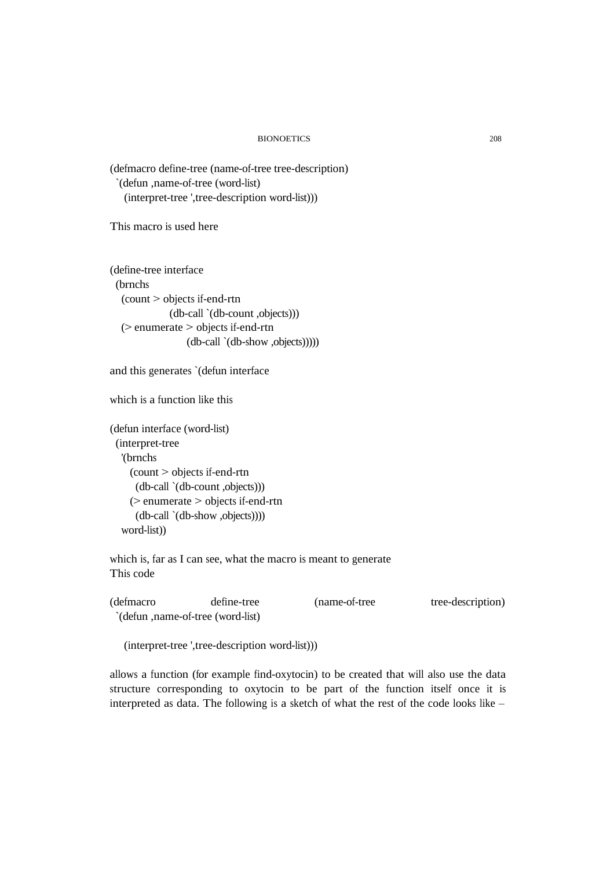(defmacro define-tree (name-of-tree tree-description) `(defun ,name-of-tree (word-list) (interpret-tree ',tree-description word-list)))

This macro is used here

(define-tree interface (brnchs (count > objects if-end-rtn (db-call `(db-count ,objects))) (> enumerate > objects if-end-rtn (db-call `(db-show ,objects)))))

```
and this generates `(defun interface
```
which is a function like this

```
(defun interface (word-list)
(interpret-tree
 '(brnchs
   (count > objects if-end-rtn
    (db-call `(db-count ,objects)))
   (> enumerate > objects if-end-rtn
    (db-call `(db-show ,objects))))
 word-list))
```
which is, far as I can see, what the macro is meant to generate This code

| (defmacro) | define-tree                       | (name-of-tree) | tree-description) |
|------------|-----------------------------------|----------------|-------------------|
|            | (defun , name-of-tree (word-list) |                |                   |

(interpret-tree ',tree-description word-list)))

allows a function (for example find-oxytocin) to be created that will also use the data structure corresponding to oxytocin to be part of the function itself once it is interpreted as data. The following is a sketch of what the rest of the code looks like –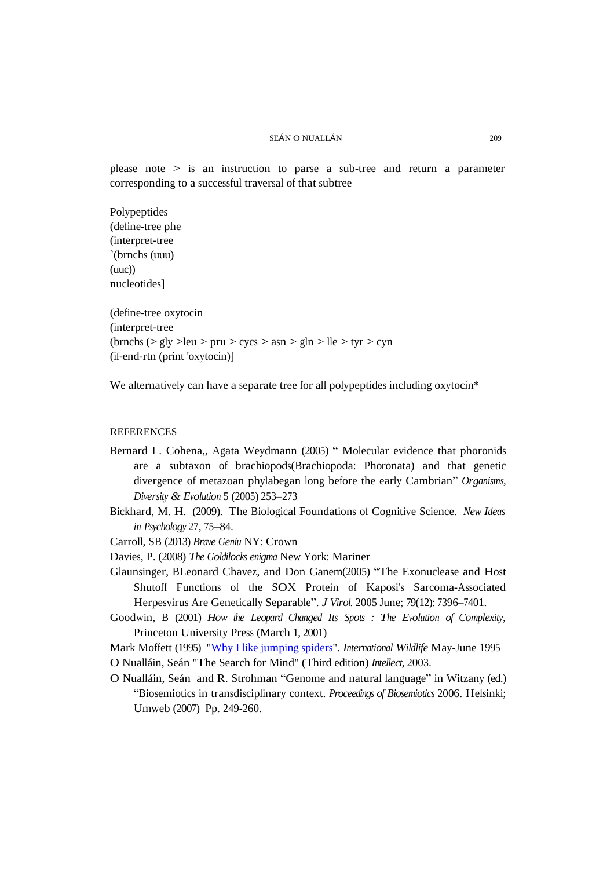please note > is an instruction to parse a sub-tree and return a parameter corresponding to a successful traversal of that subtree

Polypeptides (define-tree phe (interpret-tree `(brnchs (uuu) (uuc)) nucleotides]

(define-tree oxytocin (interpret-tree (brnchs  $(> gly >leu > pru > cycs > asn > gln > lle > tyr > cyn$ (if-end-rtn (print 'oxytocin)]

We alternatively can have a separate tree for all polypeptides including oxytocin<sup>\*</sup>

#### REFERENCES

- Bernard L. Cohena,, Agata Weydmann (2005) " Molecular evidence that phoronids are a subtaxon of brachiopods(Brachiopoda: Phoronata) and that genetic divergence of metazoan phylabegan long before the early Cambrian" *Organisms, Diversity & Evolution* 5 (2005) 253–273
- Bickhard, M. H. (2009). The Biological Foundations of Cognitive Science. *New Ideas in Psychology* 27, 75–84.

Carroll, SB (2013) *Brave Geniu* NY: Crown

- Davies, P. (2008) *The Goldilocks enigma* New York: Mariner
- Glaunsinger, BLeonard Chavez, and Don Ganem(2005) "The Exonuclease and Host Shutoff Functions of the SOX Protein of Kaposi's Sarcoma-Associated Herpesvirus Are Genetically Separable". *J Virol.* 2005 June; 79(12): 7396–7401.
- Goodwin, B (2001) *How the Leopard Changed Its Spots : The Evolution of Complexity,* Princeton University Press (March 1, 2001)
- Mark Moffett (1995) "Why I like jumping [spiders".](http://findarticles.com/p/articles/mi_m1170/is_n3_v25/ai_16919567/) *International Wildlife* May-June 1995 O Nualláin, Seán "The Search for Mind" (Third edition) *Intellect*, 2003.
- O Nualláin, Seán and R. Strohman "Genome and natural language" in Witzany (ed.) "Biosemiotics in transdisciplinary context. *Proceedings of Biosemiotics* 2006. Helsinki; Umweb (2007) Pp. 249-260.